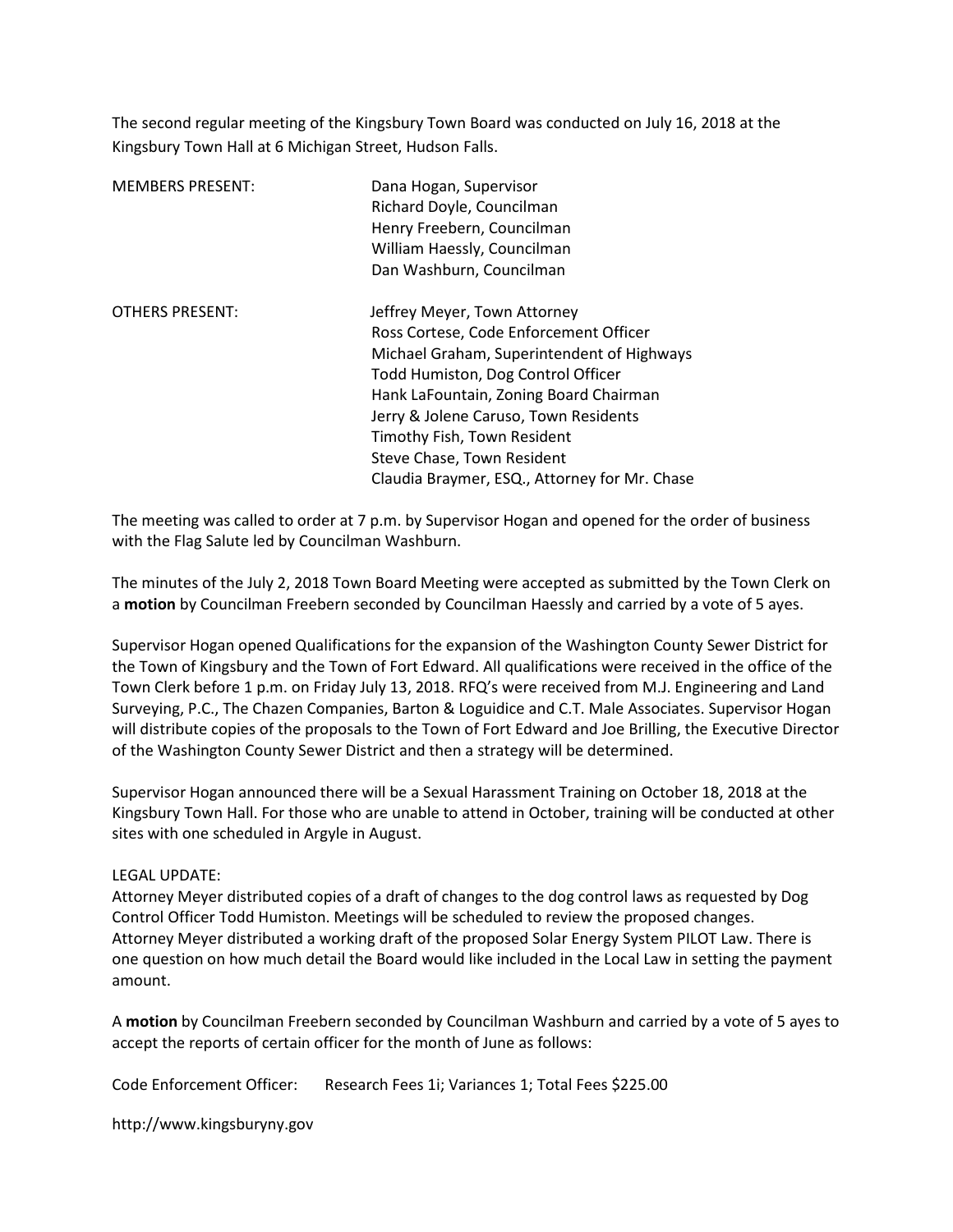The second regular meeting of the Kingsbury Town Board was conducted on July 16, 2018 at the Kingsbury Town Hall at 6 Michigan Street, Hudson Falls.

| <b>MEMBERS PRESENT:</b> | Dana Hogan, Supervisor<br>Richard Doyle, Councilman<br>Henry Freebern, Councilman<br>William Haessly, Councilman |
|-------------------------|------------------------------------------------------------------------------------------------------------------|
|                         | Dan Washburn, Councilman                                                                                         |
| <b>OTHERS PRESENT:</b>  | Jeffrey Meyer, Town Attorney                                                                                     |
|                         | Ross Cortese, Code Enforcement Officer                                                                           |
|                         | Michael Graham, Superintendent of Highways                                                                       |
|                         | Todd Humiston, Dog Control Officer                                                                               |
|                         | Hank LaFountain, Zoning Board Chairman                                                                           |
|                         | Jerry & Jolene Caruso, Town Residents                                                                            |
|                         | Timothy Fish, Town Resident                                                                                      |
|                         | Steve Chase, Town Resident                                                                                       |
|                         | Claudia Braymer, ESQ., Attorney for Mr. Chase                                                                    |

The meeting was called to order at 7 p.m. by Supervisor Hogan and opened for the order of business with the Flag Salute led by Councilman Washburn.

The minutes of the July 2, 2018 Town Board Meeting were accepted as submitted by the Town Clerk on a motion by Councilman Freebern seconded by Councilman Haessly and carried by a vote of 5 ayes.

Supervisor Hogan opened Qualifications for the expansion of the Washington County Sewer District for the Town of Kingsbury and the Town of Fort Edward. All qualifications were received in the office of the Town Clerk before 1 p.m. on Friday July 13, 2018. RFQ's were received from M.J. Engineering and Land Surveying, P.C., The Chazen Companies, Barton & Loguidice and C.T. Male Associates. Supervisor Hogan will distribute copies of the proposals to the Town of Fort Edward and Joe Brilling, the Executive Director of the Washington County Sewer District and then a strategy will be determined.

Supervisor Hogan announced there will be a Sexual Harassment Training on October 18, 2018 at the Kingsbury Town Hall. For those who are unable to attend in October, training will be conducted at other sites with one scheduled in Argyle in August.

#### LEGAL UPDATE:

Attorney Meyer distributed copies of a draft of changes to the dog control laws as requested by Dog Control Officer Todd Humiston. Meetings will be scheduled to review the proposed changes. Attorney Meyer distributed a working draft of the proposed Solar Energy System PILOT Law. There is one question on how much detail the Board would like included in the Local Law in setting the payment amount.

A motion by Councilman Freebern seconded by Councilman Washburn and carried by a vote of 5 ayes to accept the reports of certain officer for the month of June as follows:

Code Enforcement Officer: Research Fees 1i; Variances 1; Total Fees \$225.00

http://www.kingsburyny.gov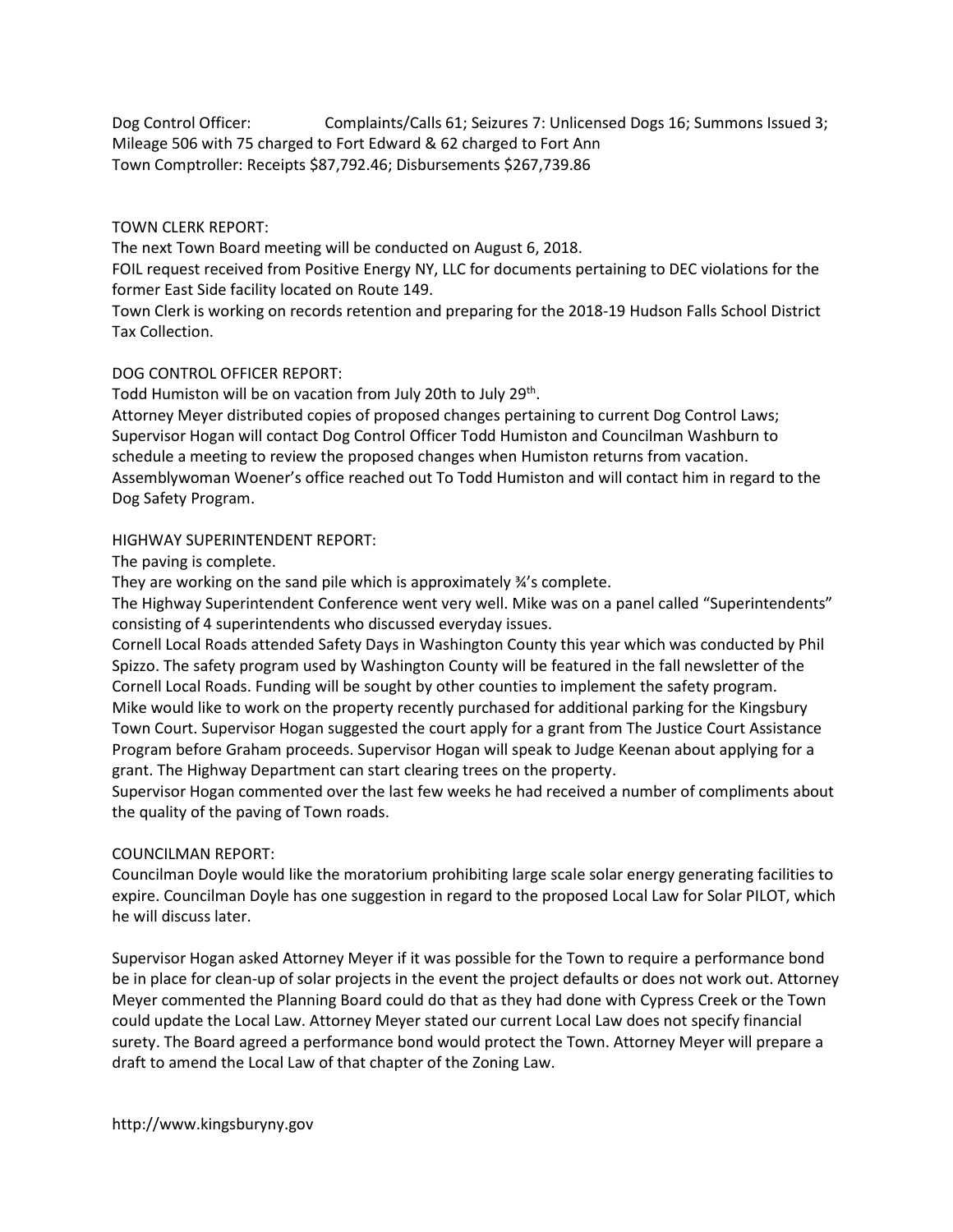Dog Control Officer: Complaints/Calls 61; Seizures 7: Unlicensed Dogs 16; Summons Issued 3; Mileage 506 with 75 charged to Fort Edward & 62 charged to Fort Ann Town Comptroller: Receipts \$87,792.46; Disbursements \$267,739.86

## TOWN CLERK REPORT:

The next Town Board meeting will be conducted on August 6, 2018.

FOIL request received from Positive Energy NY, LLC for documents pertaining to DEC violations for the former East Side facility located on Route 149.

Town Clerk is working on records retention and preparing for the 2018-19 Hudson Falls School District Tax Collection.

## DOG CONTROL OFFICER REPORT:

Todd Humiston will be on vacation from July 20th to July 29<sup>th</sup>.

Attorney Meyer distributed copies of proposed changes pertaining to current Dog Control Laws; Supervisor Hogan will contact Dog Control Officer Todd Humiston and Councilman Washburn to schedule a meeting to review the proposed changes when Humiston returns from vacation. Assemblywoman Woener's office reached out To Todd Humiston and will contact him in regard to the Dog Safety Program.

# HIGHWAY SUPERINTENDENT REPORT:

The paving is complete.

They are working on the sand pile which is approximately ¾'s complete.

The Highway Superintendent Conference went very well. Mike was on a panel called "Superintendents" consisting of 4 superintendents who discussed everyday issues.

Cornell Local Roads attended Safety Days in Washington County this year which was conducted by Phil Spizzo. The safety program used by Washington County will be featured in the fall newsletter of the Cornell Local Roads. Funding will be sought by other counties to implement the safety program. Mike would like to work on the property recently purchased for additional parking for the Kingsbury Town Court. Supervisor Hogan suggested the court apply for a grant from The Justice Court Assistance Program before Graham proceeds. Supervisor Hogan will speak to Judge Keenan about applying for a grant. The Highway Department can start clearing trees on the property.

Supervisor Hogan commented over the last few weeks he had received a number of compliments about the quality of the paving of Town roads.

## COUNCILMAN REPORT:

Councilman Doyle would like the moratorium prohibiting large scale solar energy generating facilities to expire. Councilman Doyle has one suggestion in regard to the proposed Local Law for Solar PILOT, which he will discuss later.

Supervisor Hogan asked Attorney Meyer if it was possible for the Town to require a performance bond be in place for clean-up of solar projects in the event the project defaults or does not work out. Attorney Meyer commented the Planning Board could do that as they had done with Cypress Creek or the Town could update the Local Law. Attorney Meyer stated our current Local Law does not specify financial surety. The Board agreed a performance bond would protect the Town. Attorney Meyer will prepare a draft to amend the Local Law of that chapter of the Zoning Law.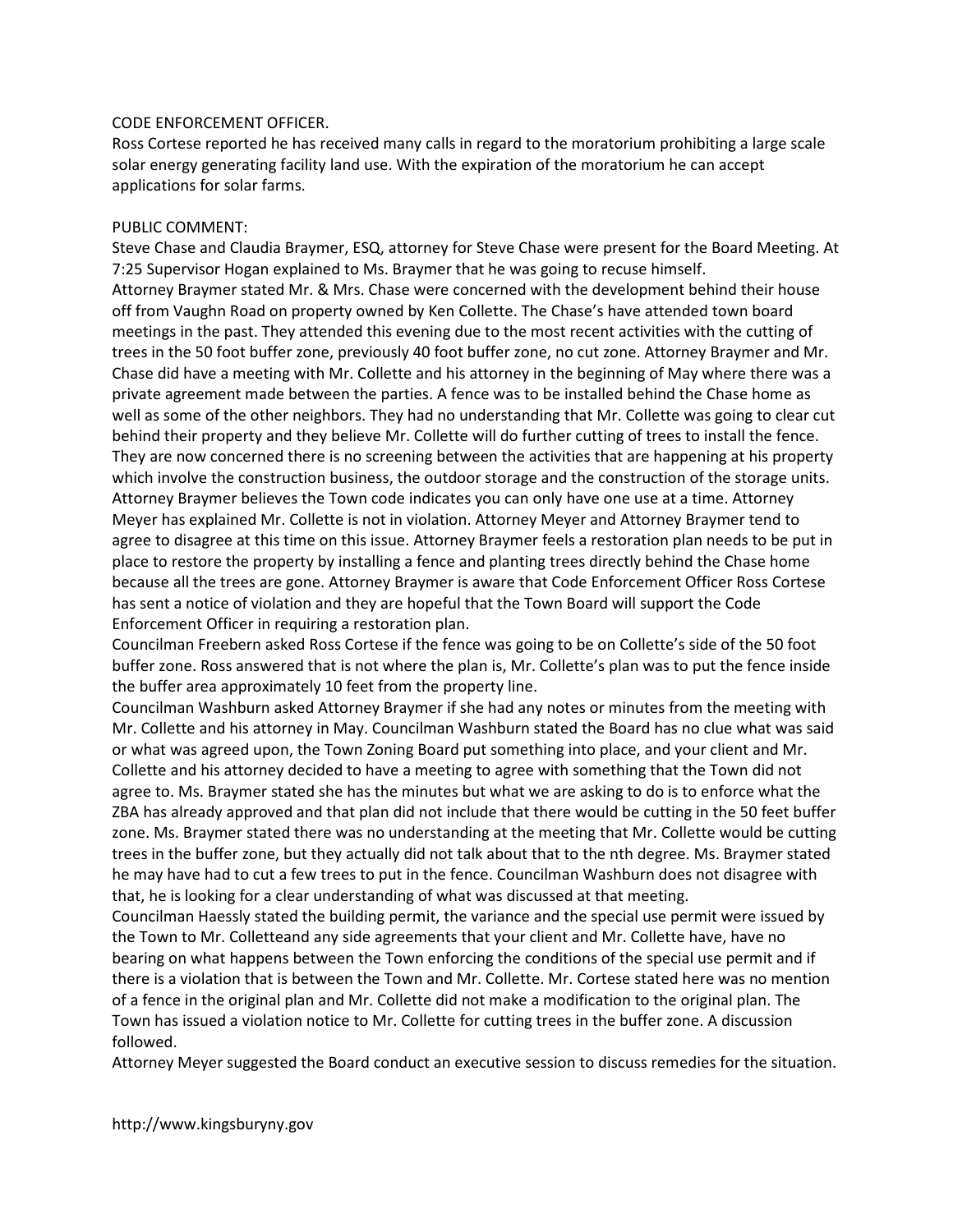### CODE ENFORCEMENT OFFICER.

Ross Cortese reported he has received many calls in regard to the moratorium prohibiting a large scale solar energy generating facility land use. With the expiration of the moratorium he can accept applications for solar farms.

### PUBLIC COMMENT:

Steve Chase and Claudia Braymer, ESQ, attorney for Steve Chase were present for the Board Meeting. At 7:25 Supervisor Hogan explained to Ms. Braymer that he was going to recuse himself. Attorney Braymer stated Mr. & Mrs. Chase were concerned with the development behind their house off from Vaughn Road on property owned by Ken Collette. The Chase's have attended town board meetings in the past. They attended this evening due to the most recent activities with the cutting of trees in the 50 foot buffer zone, previously 40 foot buffer zone, no cut zone. Attorney Braymer and Mr. Chase did have a meeting with Mr. Collette and his attorney in the beginning of May where there was a private agreement made between the parties. A fence was to be installed behind the Chase home as well as some of the other neighbors. They had no understanding that Mr. Collette was going to clear cut behind their property and they believe Mr. Collette will do further cutting of trees to install the fence. They are now concerned there is no screening between the activities that are happening at his property which involve the construction business, the outdoor storage and the construction of the storage units. Attorney Braymer believes the Town code indicates you can only have one use at a time. Attorney Meyer has explained Mr. Collette is not in violation. Attorney Meyer and Attorney Braymer tend to agree to disagree at this time on this issue. Attorney Braymer feels a restoration plan needs to be put in place to restore the property by installing a fence and planting trees directly behind the Chase home because all the trees are gone. Attorney Braymer is aware that Code Enforcement Officer Ross Cortese has sent a notice of violation and they are hopeful that the Town Board will support the Code Enforcement Officer in requiring a restoration plan.

Councilman Freebern asked Ross Cortese if the fence was going to be on Collette's side of the 50 foot buffer zone. Ross answered that is not where the plan is, Mr. Collette's plan was to put the fence inside the buffer area approximately 10 feet from the property line.

Councilman Washburn asked Attorney Braymer if she had any notes or minutes from the meeting with Mr. Collette and his attorney in May. Councilman Washburn stated the Board has no clue what was said or what was agreed upon, the Town Zoning Board put something into place, and your client and Mr. Collette and his attorney decided to have a meeting to agree with something that the Town did not agree to. Ms. Braymer stated she has the minutes but what we are asking to do is to enforce what the ZBA has already approved and that plan did not include that there would be cutting in the 50 feet buffer zone. Ms. Braymer stated there was no understanding at the meeting that Mr. Collette would be cutting trees in the buffer zone, but they actually did not talk about that to the nth degree. Ms. Braymer stated he may have had to cut a few trees to put in the fence. Councilman Washburn does not disagree with that, he is looking for a clear understanding of what was discussed at that meeting.

Councilman Haessly stated the building permit, the variance and the special use permit were issued by the Town to Mr. Colletteand any side agreements that your client and Mr. Collette have, have no bearing on what happens between the Town enforcing the conditions of the special use permit and if there is a violation that is between the Town and Mr. Collette. Mr. Cortese stated here was no mention of a fence in the original plan and Mr. Collette did not make a modification to the original plan. The Town has issued a violation notice to Mr. Collette for cutting trees in the buffer zone. A discussion followed.

Attorney Meyer suggested the Board conduct an executive session to discuss remedies for the situation.